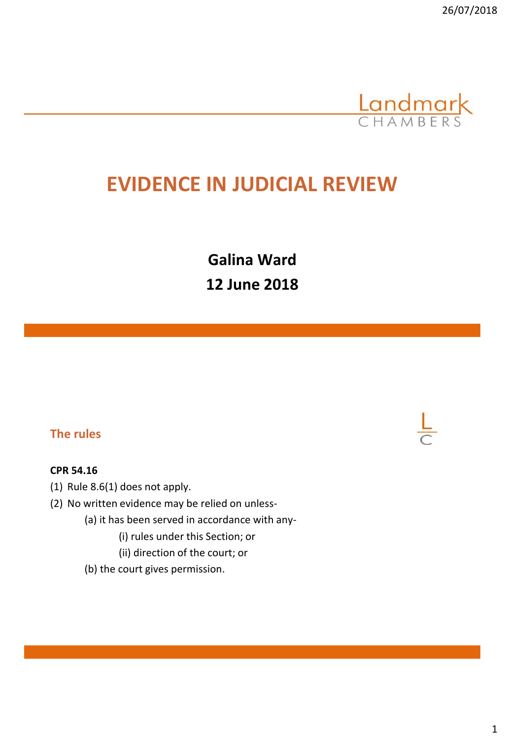

# **EVIDENCE IN JUDICIAL REVIEW**

**Galina Ward 12 June 2018**

### **The rules**

#### **CPR 54.16**

- (1) Rule 8.6(1) does not apply.
- (2) No written evidence may be relied on unless-
	- (a) it has been served in accordance with any-
		- (i) rules under this Section; or
		- (ii) direction of the court; or
	- (b) the court gives permission.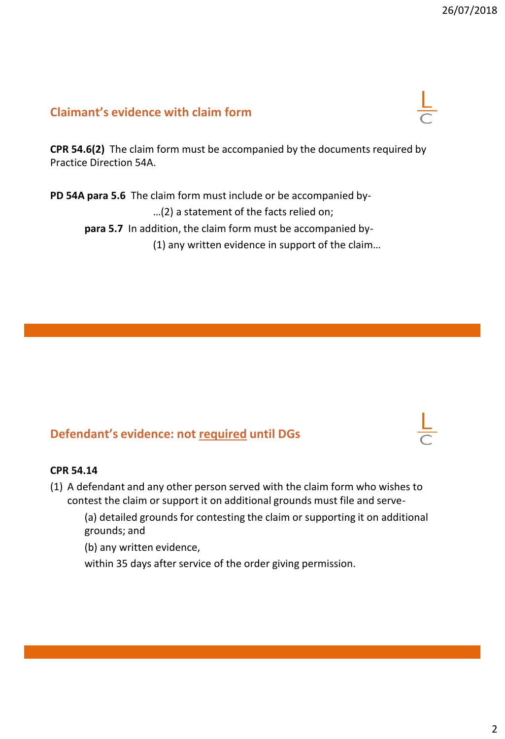## **Claimant's evidence with claim form**

**CPR 54.6(2)** The claim form must be accompanied by the documents required by Practice Direction 54A.

**PD 54A para 5.6** The claim form must include or be accompanied by- …(2) a statement of the facts relied on; **para 5.7** In addition, the claim form must be accompanied by- (1) any written evidence in support of the claim…

## **Defendant's evidence: not required until DGs**

#### **CPR 54.14**

(1) A defendant and any other person served with the claim form who wishes to contest the claim or support it on additional grounds must file and serve-

(a) detailed grounds for contesting the claim or supporting it on additional grounds; and

(b) any written evidence,

within 35 days after service of the order giving permission.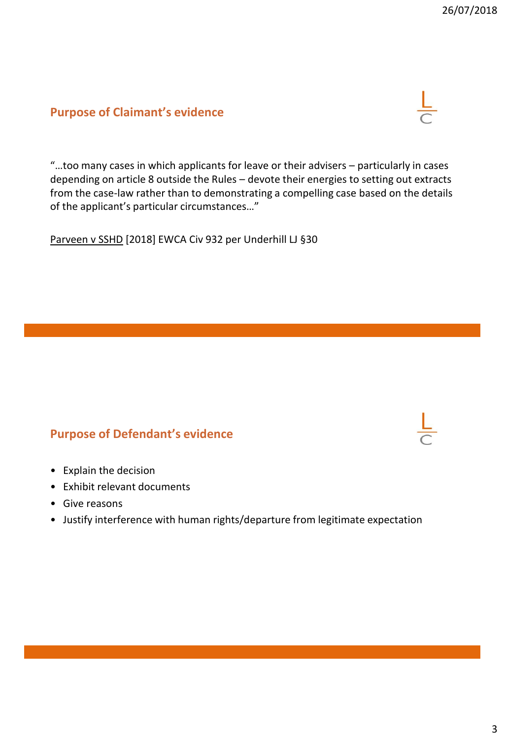## **Purpose of Claimant's evidence**



"…too many cases in which applicants for leave or their advisers – particularly in cases depending on article 8 outside the Rules – devote their energies to setting out extracts from the case-law rather than to demonstrating a compelling case based on the details of the applicant's particular circumstances…"

Parveen v SSHD [2018] EWCA Civ 932 per Underhill LJ §30

## **Purpose of Defendant's evidence**

- Explain the decision
- Exhibit relevant documents
- Give reasons
- Justify interference with human rights/departure from legitimate expectation